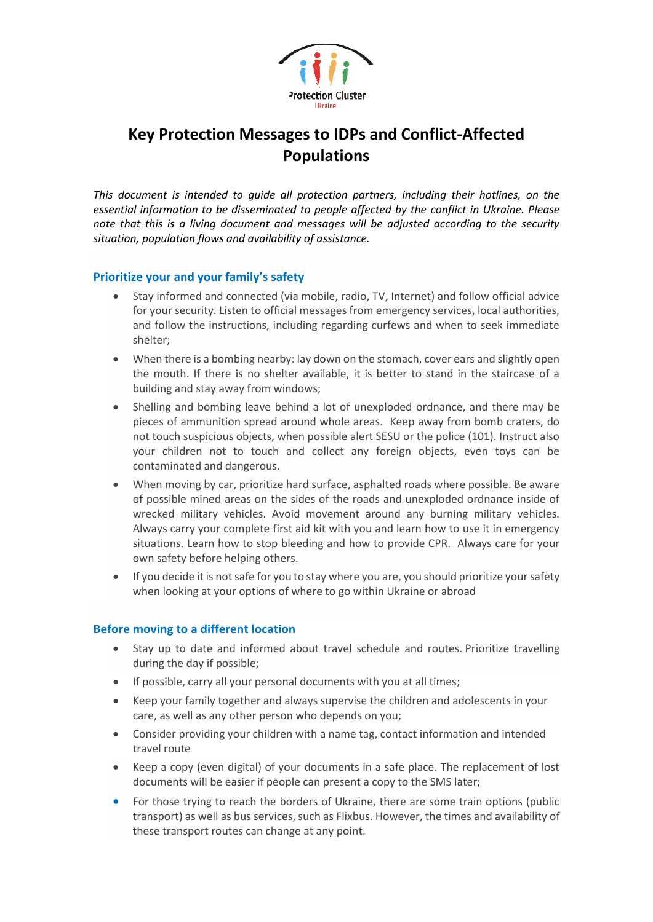

# **Key Protection Messages to IDPs and Conflict-Affected Populations**

*This document is intended to guide all protection partners, including their hotlines, on the essential information to be disseminated to people affected by the conflict in Ukraine. Please note that this is a living document and messages will be adjusted according to the security situation, population flows and availability of assistance.*

#### **Prioritize your and your family's safety**

- Stay informed and connected (via mobile, radio, TV, Internet) and follow official advice for your security. Listen to official messages from emergency services, local authorities, and follow the instructions, including regarding curfews and when to seek immediate shelter;
- When there is a bombing nearby: lay down on the stomach, cover ears and slightly open the mouth. If there is no shelter available, it is better to stand in the staircase of a building and stay away from windows;
- Shelling and bombing leave behind a lot of unexploded ordnance, and there may be pieces of ammunition spread around whole areas. Keep away from bomb craters, do not touch suspicious objects, when possible alert SESU or the police (101). Instruct also your children not to touch and collect any foreign objects, even toys can be contaminated and dangerous.
- When moving by car, prioritize hard surface, asphalted roads where possible. Be aware of possible mined areas on the sides of the roads and unexploded ordnance inside of wrecked military vehicles. Avoid movement around any burning military vehicles. Always carry your complete first aid kit with you and learn how to use it in emergency situations. Learn how to stop bleeding and how to provide CPR. Always care for your own safety before helping others.
- If you decide it is not safe for you to stay where you are, you should prioritize your safety when looking at your options of where to go within Ukraine or abroad

#### **Before moving to a different location**

- Stay up to date and informed about travel schedule and routes. Prioritize travelling during the day if possible;
- If possible, carry all your personal documents with you at all times;
- Keep your family together and always supervise the children and adolescents in your care, as well as any other person who depends on you;
- Consider providing your children with a name tag, contact information and intended travel route
- Keep a copy (even digital) of your documents in a safe place. The replacement of lost documents will be easier if people can present a copy to the SMS later;
- For those trying to reach the borders of Ukraine, there are some train options (public transport) as well as bus services, such as Flixbus. However, the times and availability of these transport routes can change at any point.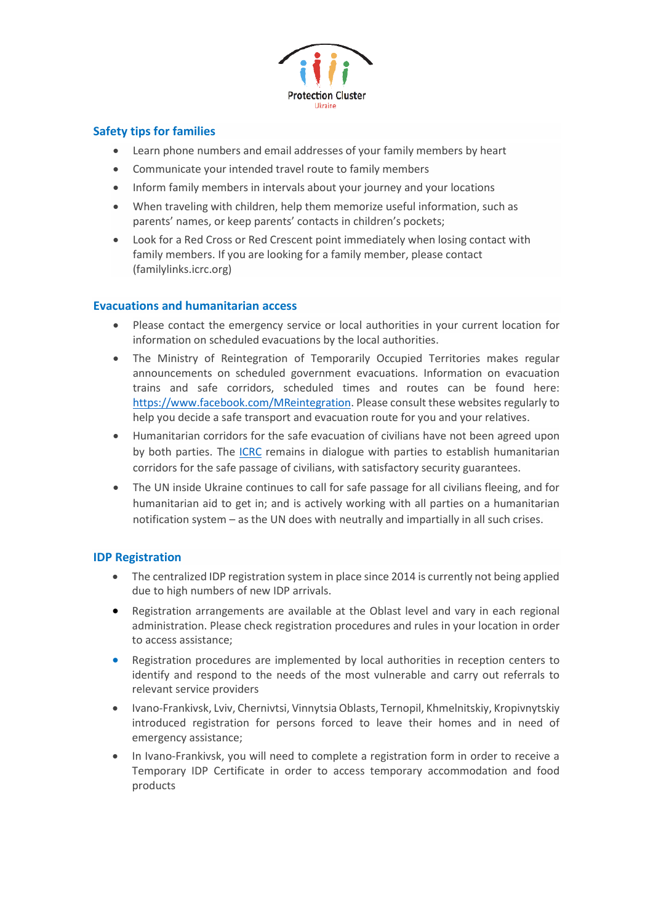

### **Safety tips for families**

- Learn phone numbers and email addresses of your family members by heart
- Communicate your intended travel route to family members
- Inform family members in intervals about your journey and your locations
- When traveling with children, help them memorize useful information, such as parents' names, or keep parents' contacts in children's pockets;
- Look for a Red Cross or Red Crescent point immediately when losing contact with family members. If you are looking for a family member, please contact (familylinks.icrc.org)

#### **Evacuations and humanitarian access**

- Please contact the emergency service or local authorities in your current location for information on scheduled evacuations by the local authorities.
- The Ministry of Reintegration of Temporarily Occupied Territories makes regular announcements on scheduled government evacuations. Information on evacuation trains and safe corridors, scheduled times and routes can be found here: [https://www.facebook.com/MReintegration.](https://www.facebook.com/MReintegration) Please consult these websites regularly to help you decide a safe transport and evacuation route for you and your relatives.
- Humanitarian corridors for the safe evacuation of civilians have not been agreed upon by both parties. The [ICRC](https://blogs.icrc.org/ir/en/2022/03/ukraine-safe-passage-for-civilians-from-mariupol-halted-for-a-second-day-icrc-calls-on-parties-to-agree-to-specific-terms/) remains in dialogue with parties to establish humanitarian corridors for the safe passage of civilians, with satisfactory security guarantees.
- The UN inside Ukraine continues to call for safe passage for all civilians fleeing, and for humanitarian aid to get in; and is actively working with all parties on a humanitarian notification system – as the UN does with neutrally and impartially in all such crises.

#### **IDP Registration**

- The centralized IDP registration system in place since 2014 is currently not being applied due to high numbers of new IDP arrivals.
- Registration arrangements are available at the Oblast level and vary in each regional administration. Please check registration procedures and rules in your location in order to access assistance;
- Registration procedures are implemented by local authorities in reception centers to identify and respond to the needs of the most vulnerable and carry out referrals to relevant service providers
- Ivano-Frankivsk, Lviv, Chernivtsi, Vinnytsia Oblasts, Ternopil, Khmelnitskiy, Kropivnytskiy introduced registration for persons forced to leave their homes and in need of emergency assistance;
- In Ivano-Frankivsk, you will need to complete a registration form in order to receive a Temporary IDP Certificate in order to access temporary accommodation and food products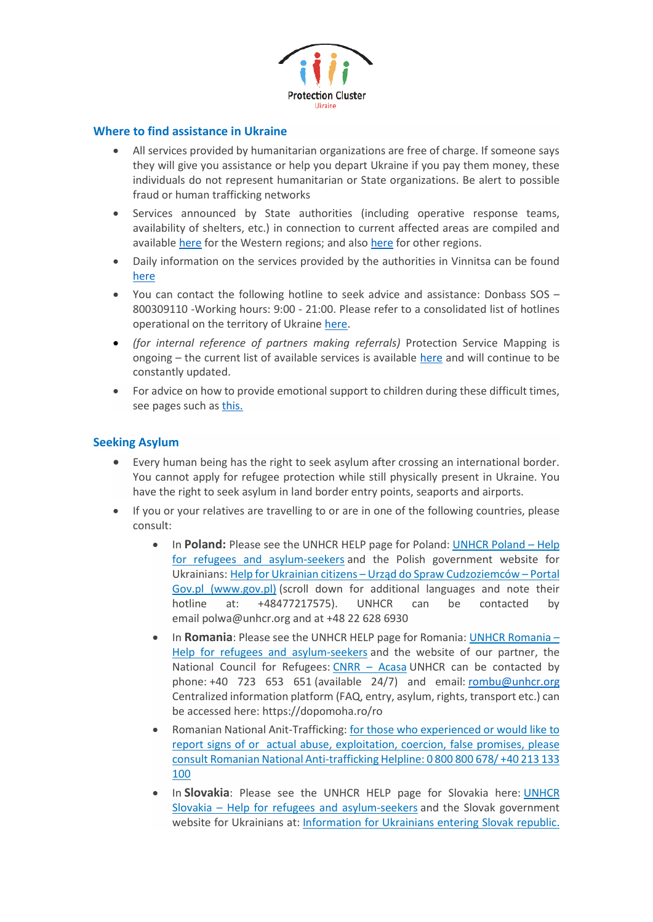

#### **Where to find assistance in Ukraine**

- All services provided by humanitarian organizations are free of charge. If someone says they will give you assistance or help you depart Ukraine if you pay them money, these individuals do not represent humanitarian or State organizations. Be alert to possible fraud or human trafficking networks
- Services announced by State authorities (including operative response teams, availability of shelters, etc.) in connection to current affected areas are compiled and available [here](https://dpss.gov.ua/news/telefoni-garyachih-linij-gumanitarnih-shtabiv-yaki-diyut-dlya-dopomogi-evakujovanim-osobam-u-zahidnih-oblastyah) for the Western regions; and also [here](http://www.vin.gov.ua/images/all-news/03-2022/5/274788533_322261789938705_2536093741234992056_n.jpg) for other regions.
- Daily information on the services provided by the authorities in Vinnitsa can be found [here](file://///Users/raqueltrabazo/Downloads/•https:/www.facebook.com/100070663822424/posts/163742625991197/%253fd=n)
- You can contact the following hotline to seek advice and assistance: Donbass SOS 800309110 -Working hours: 9:00 - 21:00. Please refer to a consolidated list of hotlines operational on the territory of Ukraine [here.](https://docs.google.com/document/d/1bPpHBl99T7NV2Ljx12rB8PpHGC2ySAny/edit?rtpof=true&sd=true)
- *(for internal reference of partners making referrals)* Protection Service Mapping is ongoing – the current list of available services is available [here](https://docs.google.com/spreadsheets/d/1uSJukpU4qa8iUHltIG6UNYGCVQPF2Bpj0BxG6MC-t6g/edit#gid=0) and will continue to be constantly updated.
- For advice on how to provide emotional support to children during these difficult times, see pages such a[s this.](https://drive.google.com/file/d/1m-A05khVuf3uaoO9cSdOM98C4dKIVx2F/view)

#### **Seeking Asylum**

- Every human being has the right to seek asylum after crossing an international border. You cannot apply for refugee protection while still physically present in Ukraine. You have the right to seek asylum in land border entry points, seaports and airports.
- If you or your relatives are travelling to or are in one of the following countries, please consult:
	- In **Poland:** Please see the [UNHCR](https://help.unhcr.org/poland/) HELP page for Poland: UNHCR Poland Help for refugees and [asylum-seekers](https://help.unhcr.org/poland/) and the Polish government website for Ukrainians: Help for Ukrainian citizens – Urząd do Spraw [Cudzoziemców](https://www.gov.pl/web/udsc/ukraina-en) – Portal Gov.pl [\(www.gov.pl\)](https://www.gov.pl/web/udsc/ukraina-en) (scroll down for additional languages and note their hotline at: +48477217575). UNHCR can be contacted by email polwa@unhcr.org and at +48 22 628 6930
	- In **Romania**: Please see the UNHCR HELP page for Romania: UNHCR [Romania](https://help.unhcr.org/romania/) Help for refugees and [asylum-seekers](https://help.unhcr.org/romania/) and the website of our partner, the National Council for Refugees: CNRR – [Acasa](https://www.cnrr.ro/index.php/ro/) UNHCR can be contacted by phone: +40 723 653 651 (available 24/7) and email: [rombu@unhcr.org](mailto:rombu@unhcr.org) Centralized information platform (FAQ, entry, asylum, rights, transport etc.) can be accessed here: https://dopomoha.ro/ro
	- Romanian National Anit-Trafficking: for those who experienced or would like to report signs of or actual abuse, exploitation, coercion, false promises, please consult Romanian National Anti-trafficking Helpline: 0 800 800 678/ +40 213 133 100
	- In **Slovakia**: Please see the UNHCR HELP page for Slovakia here: [UNHCR](https://help.unhcr.org/slovakia/) Slovakia – Help for refugees and [asylum-seekers](https://help.unhcr.org/slovakia/) and the Slovak government website for Ukrainians at: [Information](https://ua.gov.sk/en.html) for Ukrainians entering Slovak republic.